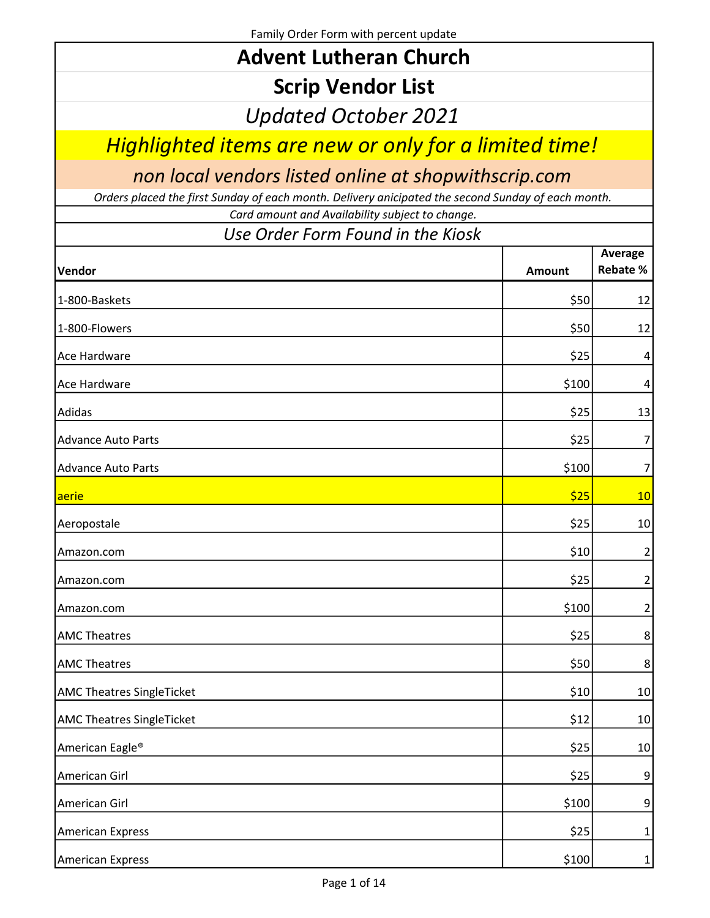Family Order Form with percent update

| <b>Advent Lutheran Church</b> |  |
|-------------------------------|--|
|-------------------------------|--|

## Scrip Vendor List

Updated October 2021

Highlighted items are new or only for a limited time!

non local vendors listed online at shopwithscrip.com

Orders placed the first Sunday of each month. Delivery anicipated the second Sunday of each month.

Card amount and Availability subject to change.

## Use Order Form Found in the Kiosk

| Vendor                           | Amount | Average<br><b>Rebate %</b> |
|----------------------------------|--------|----------------------------|
| 1-800-Baskets                    | \$50   | 12                         |
| 1-800-Flowers                    | \$50   | 12                         |
| Ace Hardware                     | \$25   | 4                          |
| Ace Hardware                     | \$100  | 4                          |
| Adidas                           | \$25   | 13                         |
| <b>Advance Auto Parts</b>        | \$25   | 7                          |
| <b>Advance Auto Parts</b>        | \$100  | 7                          |
| aerie                            | \$25   | 10                         |
| Aeropostale                      | \$25   | 10                         |
| Amazon.com                       | \$10   | 2                          |
| Amazon.com                       | \$25   | $\overline{2}$             |
| Amazon.com                       | \$100  | $\overline{2}$             |
| <b>AMC Theatres</b>              | \$25   | 8                          |
| <b>AMC Theatres</b>              | \$50   | 8                          |
| <b>AMC Theatres SingleTicket</b> | \$10   | 10                         |
| <b>AMC Theatres SingleTicket</b> | \$12   | 10                         |
| American Eagle <sup>®</sup>      | \$25   | 10                         |
| American Girl                    | \$25   | 9                          |
| American Girl                    | \$100  | 9                          |
| <b>American Express</b>          | \$25   | $1\vert$                   |
| <b>American Express</b>          | \$100  | $1\vert$                   |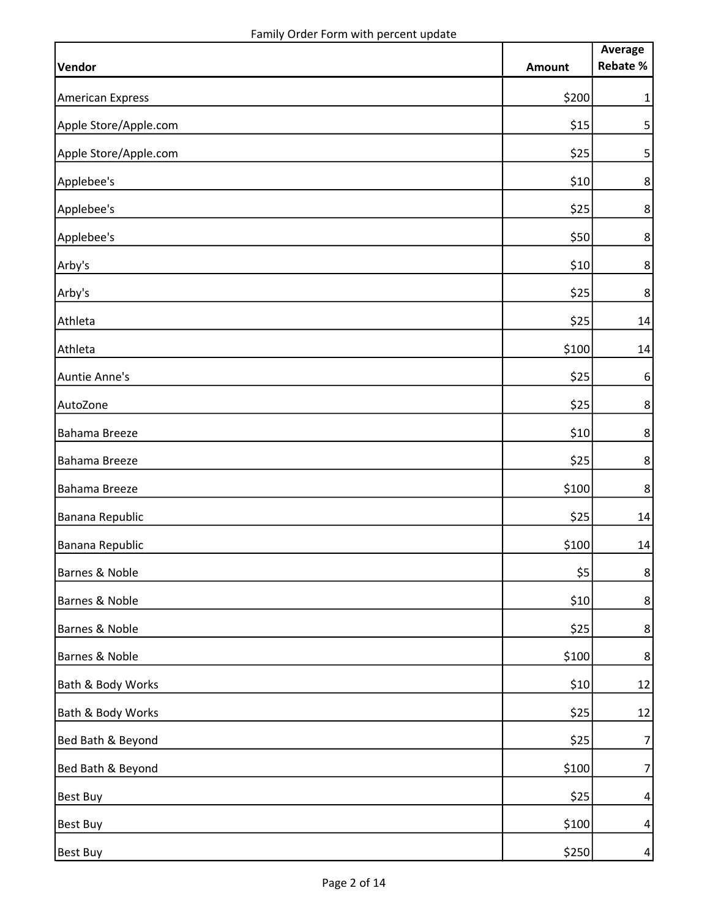|                         |               | Average          |
|-------------------------|---------------|------------------|
| Vendor                  | <b>Amount</b> | Rebate %         |
| <b>American Express</b> | \$200         | $\mathbf{1}$     |
| Apple Store/Apple.com   | $$15$         | $\sqrt{5}$       |
| Apple Store/Apple.com   | \$25          | $\mathsf{5}$     |
| Applebee's              | \$10          | $\bf 8$          |
| Applebee's              | \$25          | 8 <sup>1</sup>   |
| Applebee's              | \$50          | $\bf 8$          |
| Arby's                  | \$10          | 8 <sup>1</sup>   |
| Arby's                  | \$25          | 8 <sup>1</sup>   |
| Athleta                 | \$25          | 14               |
| Athleta                 | \$100         | 14               |
| Auntie Anne's           | \$25          | $6\,$            |
| AutoZone                | \$25          | $\bf 8$          |
| Bahama Breeze           | \$10          | $\bf 8$          |
| Bahama Breeze           | \$25          | $\bf 8$          |
| Bahama Breeze           | \$100         | $\bf 8$          |
| Banana Republic         | \$25          | 14               |
| Banana Republic         | \$100         | 14               |
| Barnes & Noble          | \$5           | $\bf 8$          |
| Barnes & Noble          | \$10          | 8                |
| Barnes & Noble          | \$25          | $8\phantom{.}$   |
| Barnes & Noble          | \$100         | 8                |
| Bath & Body Works       | \$10          | 12               |
| Bath & Body Works       | \$25          | 12               |
| Bed Bath & Beyond       | \$25          | 7                |
| Bed Bath & Beyond       | \$100         | 7                |
| <b>Best Buy</b>         | \$25          | $\boldsymbol{4}$ |
| <b>Best Buy</b>         | \$100         | $\vert 4 \vert$  |
| <b>Best Buy</b>         | \$250]        | $\vert$          |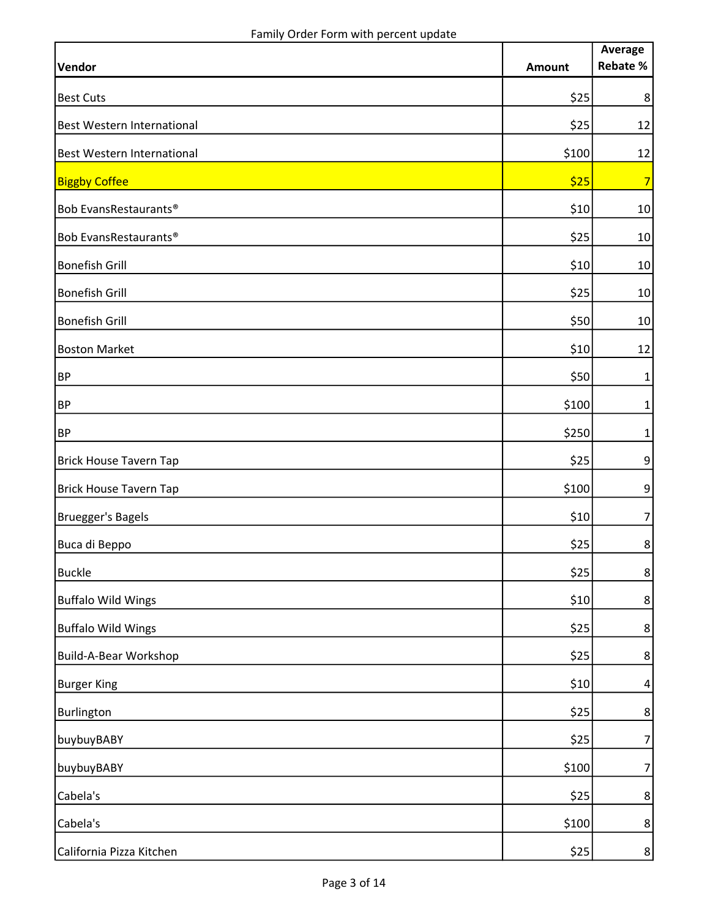|                               |        | Average         |
|-------------------------------|--------|-----------------|
| Vendor                        | Amount | <b>Rebate %</b> |
| <b>Best Cuts</b>              | \$25   | 8               |
| Best Western International    | \$25   | 12              |
| Best Western International    | \$100  | 12              |
| <b>Biggby Coffee</b>          | \$25   | 7               |
| Bob EvansRestaurants®         | \$10   | 10              |
| Bob EvansRestaurants®         | \$25   | 10              |
| <b>Bonefish Grill</b>         | \$10   | 10              |
| <b>Bonefish Grill</b>         | \$25   | 10              |
| <b>Bonefish Grill</b>         | \$50   | 10              |
| <b>Boston Market</b>          | \$10   | 12              |
| <b>BP</b>                     | \$50   | 1               |
| <b>BP</b>                     | \$100  | 1               |
| <b>BP</b>                     | \$250  | $\mathbf{1}$    |
| <b>Brick House Tavern Tap</b> | \$25   | $\overline{9}$  |
| <b>Brick House Tavern Tap</b> | \$100  | $\overline{9}$  |
| Bruegger's Bagels             | \$10   | 7               |
| Buca di Beppo                 | \$25   | 8               |
| <b>Buckle</b>                 | $$25$  | $\bf 8$         |
| <b>Buffalo Wild Wings</b>     | \$10   | $8\phantom{.}$  |
| <b>Buffalo Wild Wings</b>     | \$25   | $8\phantom{.}$  |
| Build-A-Bear Workshop         | \$25   | $8\phantom{.}$  |
| <b>Burger King</b>            | \$10   | $\overline{4}$  |
| Burlington                    | \$25   | 8               |
| buybuyBABY                    | \$25   | 7               |
| buybuyBABY                    | \$100  | 7               |
| Cabela's                      | \$25   | $\bf 8$         |
| Cabela's                      | \$100  | 8               |
| California Pizza Kitchen      | \$25   | 8               |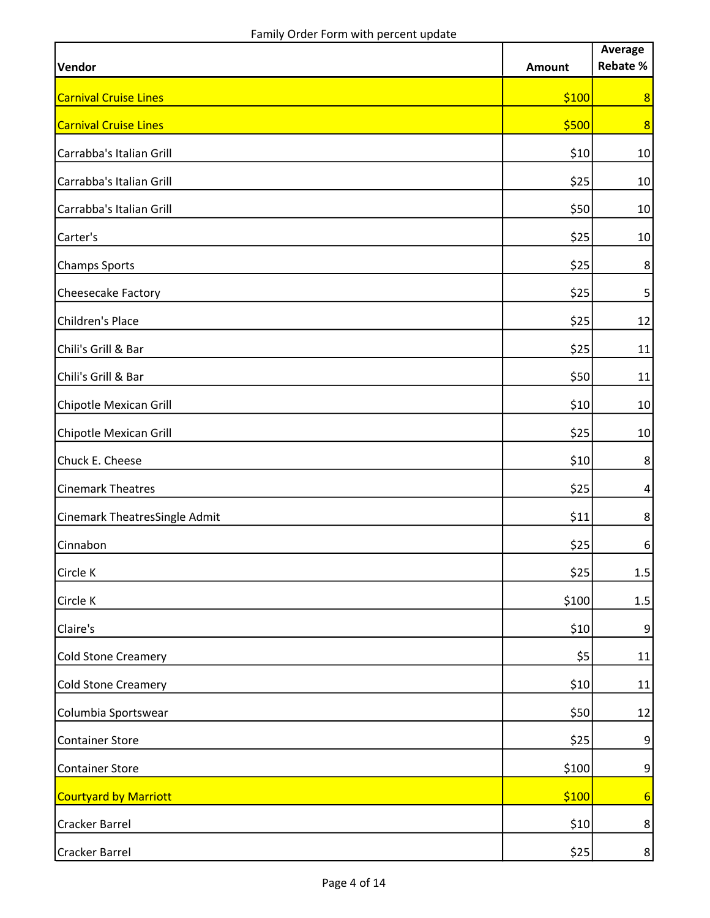| Vendor                        | <b>Amount</b> | Average<br>Rebate % |
|-------------------------------|---------------|---------------------|
| <b>Carnival Cruise Lines</b>  | \$100         | 8                   |
| <b>Carnival Cruise Lines</b>  | \$500         | 8                   |
| Carrabba's Italian Grill      | \$10          | 10                  |
| Carrabba's Italian Grill      | \$25          | 10                  |
| Carrabba's Italian Grill      | \$50          | 10                  |
| Carter's                      | \$25          | 10                  |
| <b>Champs Sports</b>          | \$25          | 8                   |
| Cheesecake Factory            | \$25          | 5 <sup>1</sup>      |
| Children's Place              | \$25          | 12                  |
| Chili's Grill & Bar           | \$25          | 11                  |
| Chili's Grill & Bar           | \$50          | 11                  |
| Chipotle Mexican Grill        | \$10          | 10                  |
| Chipotle Mexican Grill        | \$25          | 10                  |
| Chuck E. Cheese               | \$10          | 8                   |
| <b>Cinemark Theatres</b>      | \$25          | $\vert 4 \vert$     |
| Cinemark TheatresSingle Admit | \$11          | 8                   |
| Cinnabon                      | \$25          | $6 \overline{6}$    |
| Circle K                      | \$25          | 1.5                 |
| Circle K                      | \$100         | $1.5$               |
| Claire's                      | \$10          | 9                   |
| <b>Cold Stone Creamery</b>    | \$5           | 11                  |
| <b>Cold Stone Creamery</b>    | \$10          | 11                  |
| Columbia Sportswear           | \$50          | 12                  |
| <b>Container Store</b>        | \$25          | 9                   |
| <b>Container Store</b>        | \$100         | $\overline{9}$      |
| Courtyard by Marriott         | \$100         | $6 \overline{}$     |
| Cracker Barrel                | \$10          | 8 <sup>°</sup>      |
| <b>Cracker Barrel</b>         | \$25          | 8 <sup>1</sup>      |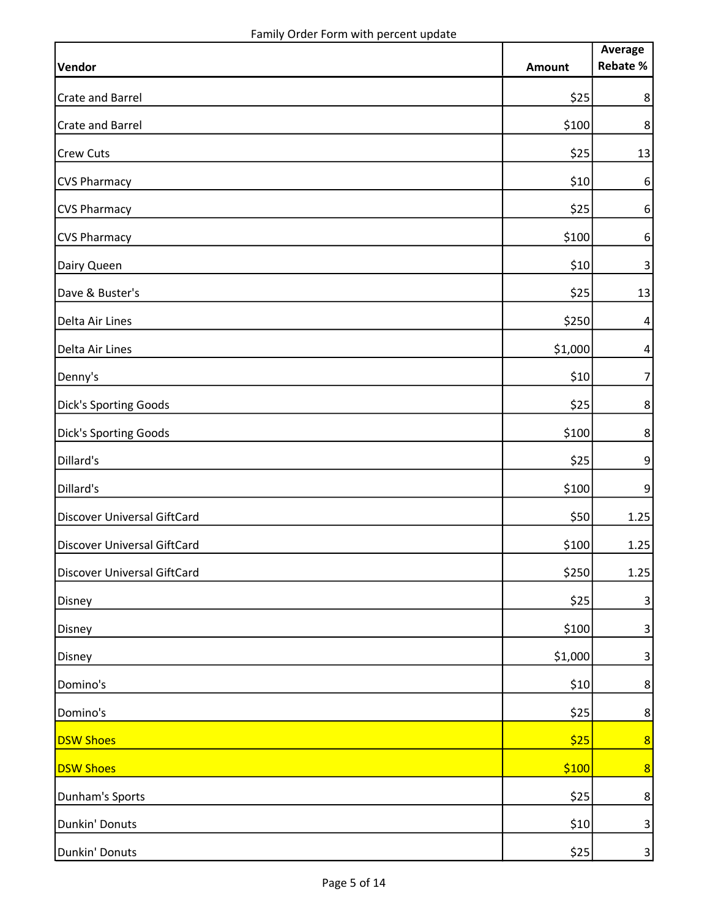| Vendor                      | <b>Amount</b> | Average<br>Rebate %     |
|-----------------------------|---------------|-------------------------|
| <b>Crate and Barrel</b>     | \$25          | 8                       |
| <b>Crate and Barrel</b>     |               |                         |
|                             | \$100         | 8                       |
| <b>Crew Cuts</b>            | \$25          | 13                      |
| <b>CVS Pharmacy</b>         | \$10          | $6\,$                   |
| <b>CVS Pharmacy</b>         | \$25          | $6 \overline{6}$        |
| <b>CVS Pharmacy</b>         | \$100         | $6 \overline{6}$        |
| Dairy Queen                 | \$10          | $\overline{3}$          |
| Dave & Buster's             | \$25          | 13                      |
| Delta Air Lines             | \$250         | $\vert 4 \vert$         |
| Delta Air Lines             | \$1,000       | $\vert 4 \vert$         |
| Denny's                     | \$10          | $\overline{7}$          |
| Dick's Sporting Goods       | \$25          | 8                       |
| Dick's Sporting Goods       | \$100         | 8                       |
| Dillard's                   | \$25          | $\overline{9}$          |
| Dillard's                   | \$100         | 9                       |
| Discover Universal GiftCard | \$50          | 1.25                    |
| Discover Universal GiftCard | \$100         | 1.25                    |
| Discover Universal GiftCard | \$250         | 1.25                    |
| Disney                      | \$25          | $\mathbf{3}$            |
| Disney                      | \$100         | $\overline{\mathbf{3}}$ |
| Disney                      | \$1,000       | $\overline{3}$          |
| Domino's                    | \$10          | 8                       |
| Domino's                    | \$25          | $\bf 8$                 |
| <b>DSW Shoes</b>            | \$25          | 8                       |
| <b>DSW Shoes</b>            | \$100         | 8                       |
| Dunham's Sports             | \$25          | 8                       |
| Dunkin' Donuts              | \$10          | $\vert$ 3               |
| Dunkin' Donuts              | \$25          | $\overline{\mathbf{3}}$ |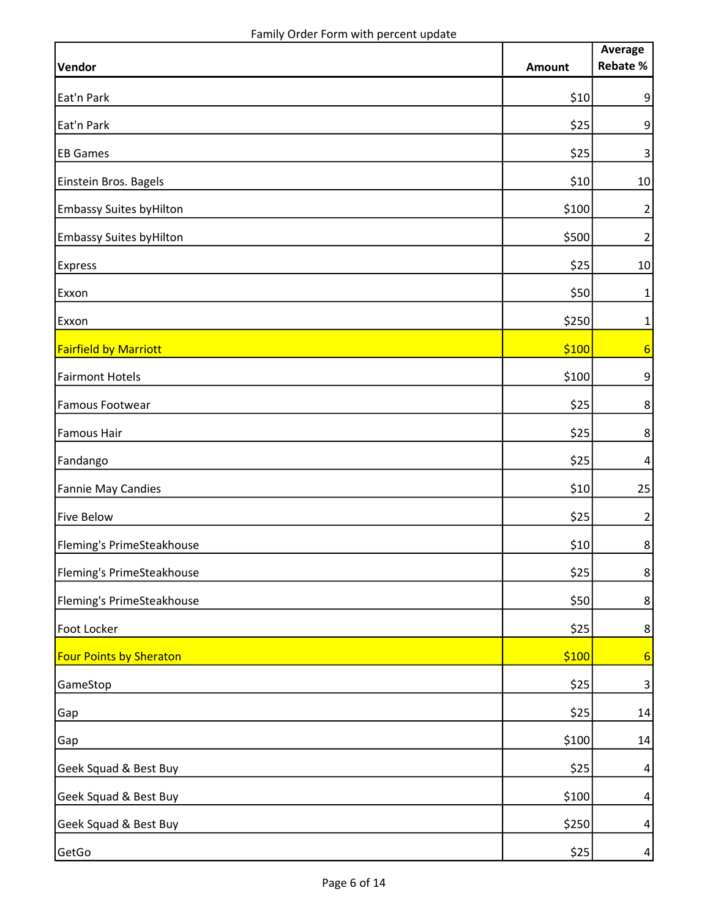|                                 |               | Average          |
|---------------------------------|---------------|------------------|
| Vendor                          | <b>Amount</b> | <b>Rebate %</b>  |
| Eat'n Park                      | \$10          | 9                |
| Eat'n Park                      | \$25          | 9                |
| <b>EB Games</b>                 | \$25          | $\mathbf{3}$     |
| Einstein Bros. Bagels           | \$10          | 10               |
| <b>Embassy Suites by Hilton</b> | \$100         | $\overline{2}$   |
| <b>Embassy Suites by Hilton</b> | \$500         | $\overline{2}$   |
| <b>Express</b>                  | \$25          | 10               |
| Exxon                           | \$50          | 1                |
| Exxon                           | \$250         | 1                |
| <b>Fairfield by Marriott</b>    | \$100         | $6\overline{6}$  |
| <b>Fairmont Hotels</b>          | \$100         | $9\,$            |
| <b>Famous Footwear</b>          | \$25          | $\bf 8$          |
| <b>Famous Hair</b>              | \$25          | 8                |
| Fandango                        | \$25          | $\vert 4 \vert$  |
| Fannie May Candies              | \$10          | 25               |
| <b>Five Below</b>               | \$25          | $\overline{2}$   |
| Fleming's PrimeSteakhouse       | \$10          | $\bf 8$          |
| Fleming's PrimeSteakhouse       | \$25          | $\bf 8$          |
| Fleming's PrimeSteakhouse       | \$50          | 8                |
| Foot Locker                     | \$25          | 8                |
| <b>Four Points by Sheraton</b>  | \$100         | 6                |
| GameStop                        | \$25          | $\mathsf{3}$     |
| Gap                             | \$25          | 14               |
| Gap                             | \$100         | 14               |
| Geek Squad & Best Buy           | \$25          | 4                |
| Geek Squad & Best Buy           | \$100         | $\boldsymbol{4}$ |
| Geek Squad & Best Buy           | \$250         | $\boldsymbol{4}$ |
| GetGo                           | \$25          | $\vert 4 \vert$  |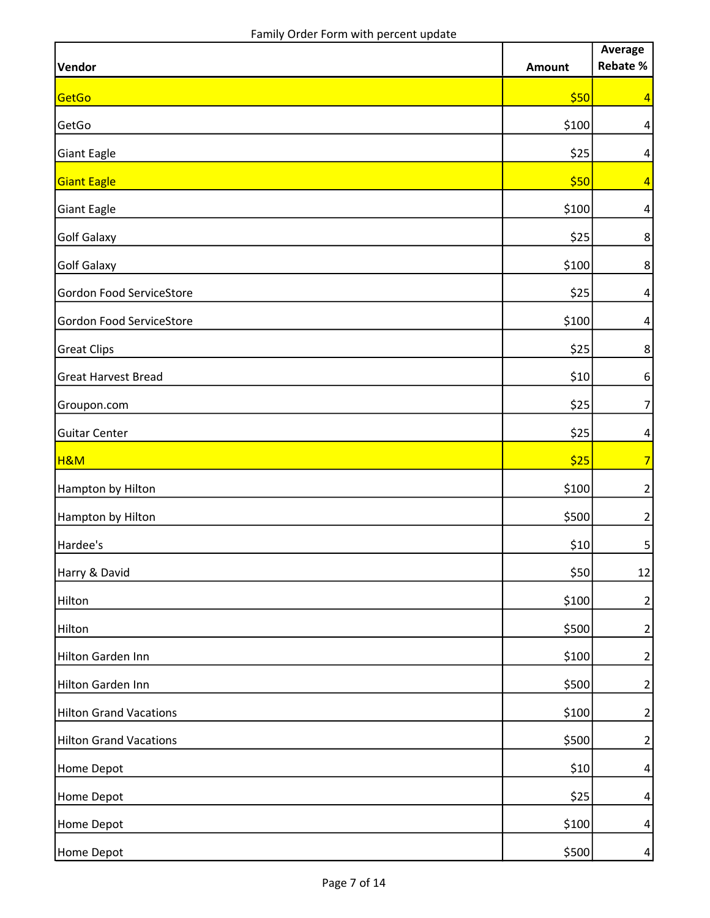| Vendor                        | <b>Amount</b> | Average<br>Rebate % |
|-------------------------------|---------------|---------------------|
| GetGo                         | \$50          | $\overline{4}$      |
| GetGo                         | \$100         | $\boldsymbol{4}$    |
| <b>Giant Eagle</b>            | \$25          | $\vert 4 \vert$     |
| <b>Giant Eagle</b>            | \$50          | $\vert 4 \vert$     |
| <b>Giant Eagle</b>            | \$100         | $\vert 4 \vert$     |
| <b>Golf Galaxy</b>            | \$25          | $\bf 8$             |
| <b>Golf Galaxy</b>            | \$100         | $\bf 8$             |
| Gordon Food ServiceStore      | \$25          | $\vert 4 \vert$     |
| Gordon Food ServiceStore      | \$100         | $\vert 4 \vert$     |
| <b>Great Clips</b>            | \$25          | $\bf 8$             |
| <b>Great Harvest Bread</b>    | \$10          | $6 \overline{6}$    |
| Groupon.com                   | \$25          | $\overline{7}$      |
| <b>Guitar Center</b>          | \$25          | $\boldsymbol{4}$    |
| <b>H&amp;M</b>                | \$25          | 7                   |
| Hampton by Hilton             | \$100         | $\overline{2}$      |
| Hampton by Hilton             | \$500         | $\overline{2}$      |
| Hardee's                      | \$10          | 5 <sup>1</sup>      |
| Harry & David                 | \$50          | 12                  |
| Hilton                        | \$100         | $\mathbf{2}$        |
| Hilton                        | \$500         | $\overline{2}$      |
| Hilton Garden Inn             | \$100         | $\overline{2}$      |
| Hilton Garden Inn             | \$500         | $\mathbf{2}$        |
| <b>Hilton Grand Vacations</b> | \$100         | $\mathbf{2}$        |
| <b>Hilton Grand Vacations</b> | \$500         | $\mathbf{2}$        |
| Home Depot                    | \$10          | $\vert 4 \vert$     |
| Home Depot                    | \$25          | $\vert 4 \vert$     |
| Home Depot                    | \$100         | $\vert 4 \vert$     |
| Home Depot                    | \$500         | $\vert$             |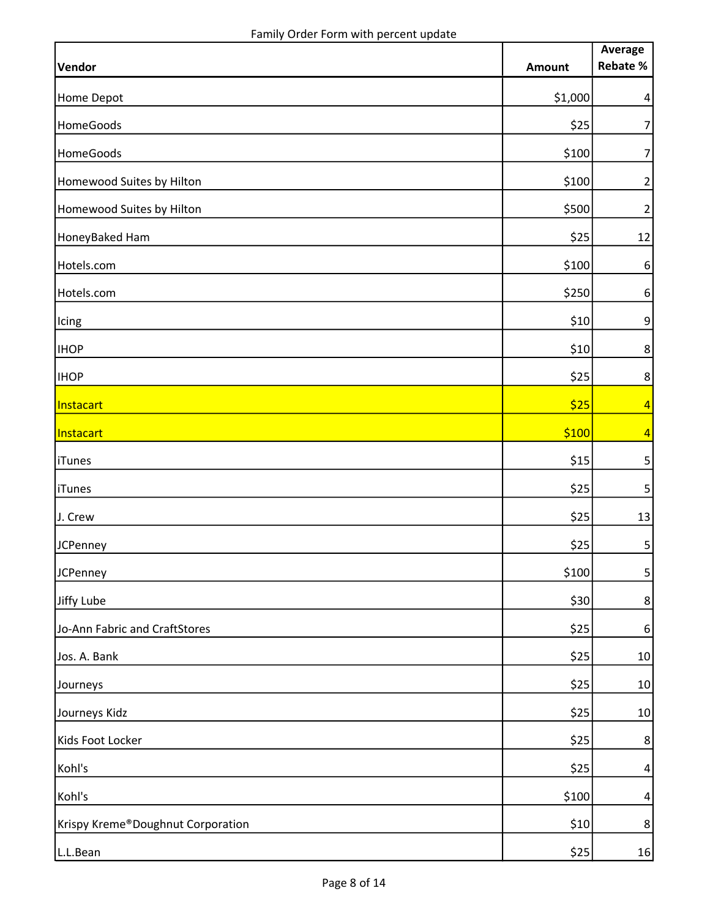| Vendor                            | <b>Amount</b> | Average<br>Rebate % |
|-----------------------------------|---------------|---------------------|
| Home Depot                        | \$1,000       | $\vert 4 \vert$     |
|                                   |               | $\overline{7}$      |
| HomeGoods                         | \$25          |                     |
| HomeGoods                         | \$100         | $\overline{7}$      |
| Homewood Suites by Hilton         | \$100         | $\overline{2}$      |
| Homewood Suites by Hilton         | \$500         | $\overline{2}$      |
| HoneyBaked Ham                    | \$25          | 12                  |
| Hotels.com                        | \$100         | $6\,$               |
| Hotels.com                        | \$250         | $\sqrt{6}$          |
| Icing                             | \$10          | $\boldsymbol{9}$    |
| <b>IHOP</b>                       | \$10          | 8 <sup>1</sup>      |
| <b>IHOP</b>                       | \$25          | 8 <sup>1</sup>      |
| Instacart                         | \$25          | $\vert 4 \vert$     |
| Instacart                         | \$100         | $\vert 4 \vert$     |
| <b>iTunes</b>                     | \$15          | 5 <sup>1</sup>      |
| <b>iTunes</b>                     | \$25          | 5 <sup>1</sup>      |
| J. Crew                           | \$25          | 13                  |
| <b>JCPenney</b>                   | \$25          | 5 <sup>1</sup>      |
| JCPenney                          | \$100         | 5 <sup>1</sup>      |
| Jiffy Lube                        | \$30          | $8\phantom{.}$      |
| Jo-Ann Fabric and CraftStores     | \$25          | 6                   |
| Jos. A. Bank                      | \$25          | 10                  |
| Journeys                          | \$25          | 10                  |
| Journeys Kidz                     | \$25          | 10                  |
| Kids Foot Locker                  | \$25          | 8                   |
| Kohl's                            | \$25          | $\vert 4 \vert$     |
| Kohl's                            | \$100         | $\vert 4 \vert$     |
| Krispy Kreme®Doughnut Corporation | \$10          | $8\phantom{.}$      |
| L.L.Bean                          | \$25          | 16                  |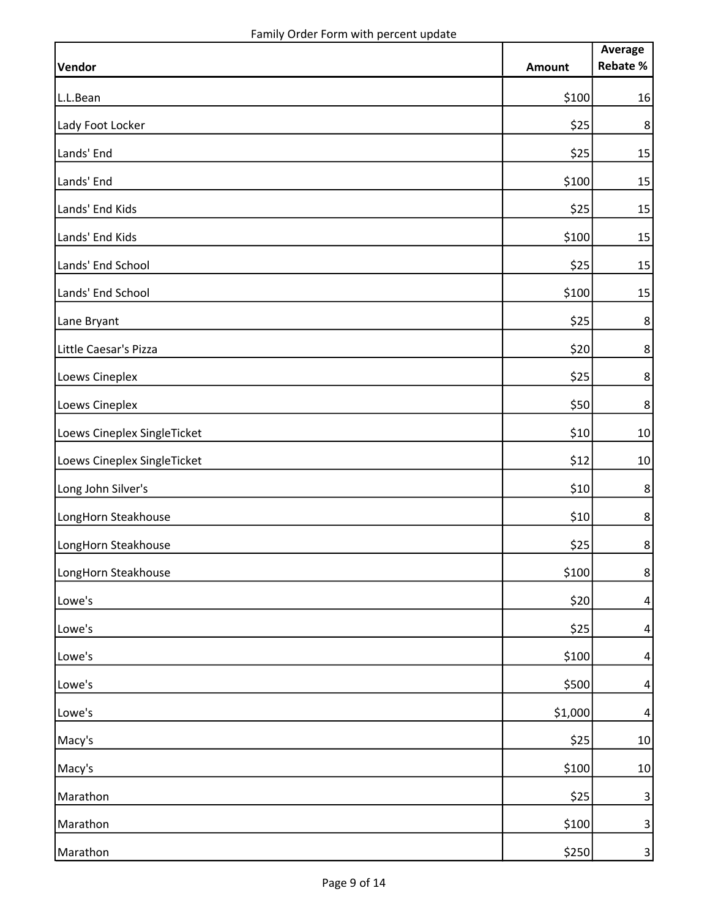|                             |               | Average        |
|-----------------------------|---------------|----------------|
| Vendor                      | <b>Amount</b> | Rebate %       |
| L.L.Bean                    | \$100         | 16             |
| Lady Foot Locker            | \$25          | $\bf 8$        |
| Lands' End                  | \$25          | 15             |
| Lands' End                  | \$100         | 15             |
| Lands' End Kids             | \$25          | 15             |
| Lands' End Kids             | \$100         | 15             |
| Lands' End School           | \$25          | 15             |
| Lands' End School           | \$100         | 15             |
| Lane Bryant                 | \$25          | $\bf 8$        |
| Little Caesar's Pizza       | \$20          | $\bf 8$        |
| Loews Cineplex              | \$25          | $\bf 8$        |
| Loews Cineplex              | \$50          | $\bf 8$        |
| Loews Cineplex SingleTicket | \$10          | 10             |
| Loews Cineplex SingleTicket | \$12          | 10             |
| Long John Silver's          | \$10          | $\bf 8$        |
| LongHorn Steakhouse         | \$10          | $\bf 8$        |
| LongHorn Steakhouse         | \$25          | $\bf 8$        |
| LongHorn Steakhouse         | \$100         | $\bf 8$        |
| Lowe's                      | \$20          | $\overline{a}$ |
| Lowe's                      | \$25          | $\overline{4}$ |
| Lowe's                      | \$100         | $\overline{4}$ |
| Lowe's                      | \$500         | $\overline{4}$ |
| Lowe's                      | \$1,000       | $\overline{4}$ |
| Macy's                      | \$25          | 10             |
| Macy's                      | \$100         | 10             |
| Marathon                    | \$25          | 3              |
| Marathon                    | \$100         | $\mathbf{3}$   |
| Marathon                    | \$250         | $\overline{3}$ |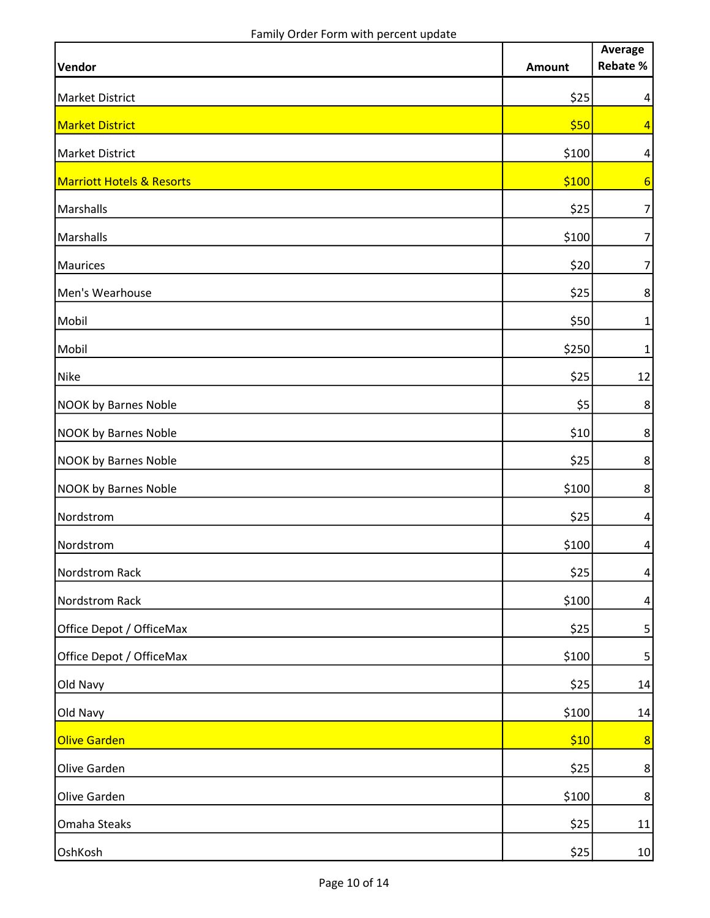|                                      |               | Average<br>Rebate % |
|--------------------------------------|---------------|---------------------|
| <b>Vendor</b>                        | <b>Amount</b> |                     |
| <b>Market District</b>               | \$25          | $\vert 4 \vert$     |
| <b>Market District</b>               | \$50          | $\vert 4 \vert$     |
| <b>Market District</b>               | \$100         | $\vert 4 \vert$     |
| <b>Marriott Hotels &amp; Resorts</b> | \$100         | 6                   |
| Marshalls                            | \$25          | $\overline{7}$      |
| Marshalls                            | \$100         | $\overline{7}$      |
| <b>Maurices</b>                      | \$20          | $\overline{7}$      |
| Men's Wearhouse                      | \$25          | $\bf 8$             |
| Mobil                                | \$50          | $\mathbf{1}$        |
| Mobil                                | \$250         | 1                   |
| <b>Nike</b>                          | \$25          | 12                  |
| <b>NOOK by Barnes Noble</b>          | \$5           | 8                   |
| <b>NOOK by Barnes Noble</b>          | \$10          | 8                   |
| <b>NOOK by Barnes Noble</b>          | \$25          | 8                   |
| <b>NOOK by Barnes Noble</b>          | \$100         | 8                   |
| Nordstrom                            | \$25          | $\vert 4 \vert$     |
| Nordstrom                            | \$100         | $\vert 4 \vert$     |
| Nordstrom Rack                       | \$25          | $\vert 4 \vert$     |
| Nordstrom Rack                       | \$100         | $\overline{4}$      |
| Office Depot / OfficeMax             | \$25          | $\mathbf{5}$        |
| Office Depot / OfficeMax             | \$100         | $\overline{5}$      |
| Old Navy                             | \$25          | 14                  |
| Old Navy                             | \$100         | 14                  |
| Olive Garden                         | \$10          | 8                   |
| Olive Garden                         | \$25          | $8\phantom{.}$      |
| Olive Garden                         | \$100         | $8\phantom{.}$      |
| Omaha Steaks                         | \$25          | 11                  |
| OshKosh                              | \$25          | 10 <sub>1</sub>     |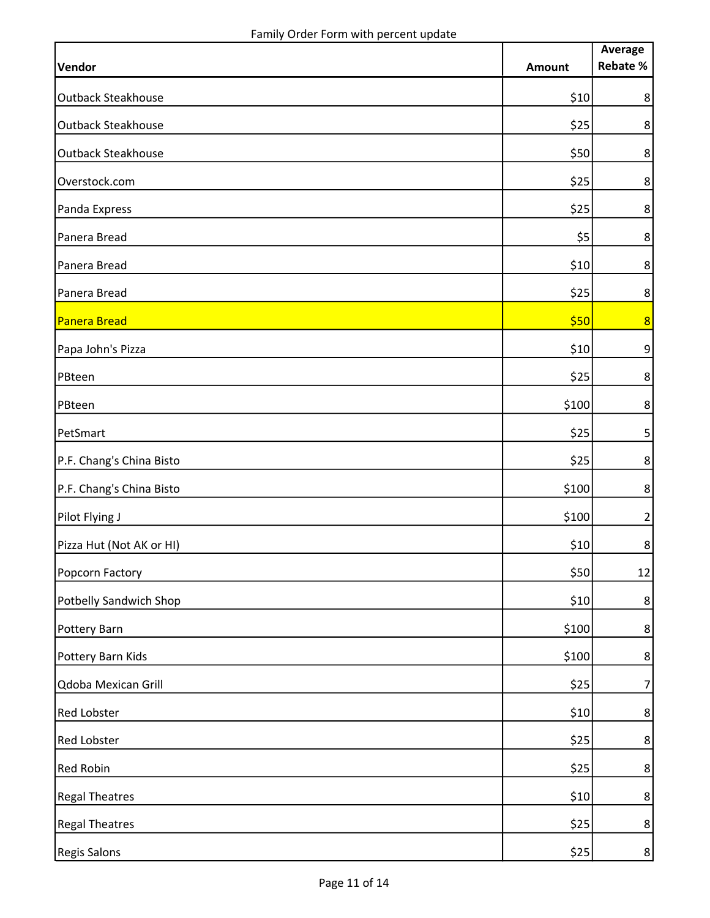|                               |               | Average<br>Rebate % |
|-------------------------------|---------------|---------------------|
| Vendor                        | <b>Amount</b> |                     |
| <b>Outback Steakhouse</b>     | \$10          | 8                   |
| <b>Outback Steakhouse</b>     | \$25          | $\bf 8$             |
| <b>Outback Steakhouse</b>     | \$50          | $\bf 8$             |
| Overstock.com                 | \$25          | $\bf 8$             |
| Panda Express                 | \$25          | $\bf 8$             |
| Panera Bread                  | \$5           | 8                   |
| Panera Bread                  | \$10          | $\bf 8$             |
| Panera Bread                  | \$25          | $\bf 8$             |
| Panera Bread                  | \$50          | 8                   |
| Papa John's Pizza             | \$10          | $\overline{9}$      |
| PBteen                        | \$25          | 8                   |
| PBteen                        | \$100         | 8 <sup>1</sup>      |
| PetSmart                      | \$25          | 5 <sup>1</sup>      |
| P.F. Chang's China Bisto      | \$25          | 8                   |
| P.F. Chang's China Bisto      | \$100         | 8                   |
| Pilot Flying J                | \$100         | $\mathbf{2}$        |
| Pizza Hut (Not AK or HI)      | \$10          | 8 <sup>1</sup>      |
| Popcorn Factory               | \$50          | 12                  |
| <b>Potbelly Sandwich Shop</b> | \$10          | 8                   |
| Pottery Barn                  | \$100         | $8\phantom{1}$      |
| Pottery Barn Kids             | \$100         | $\bf 8$             |
| Qdoba Mexican Grill           | \$25          | 7                   |
| <b>Red Lobster</b>            | \$10          | $8\phantom{.}$      |
| <b>Red Lobster</b>            | \$25          | 8                   |
| <b>Red Robin</b>              | \$25          | $8\phantom{.}$      |
| <b>Regal Theatres</b>         | \$10          | $8\phantom{.}$      |
| <b>Regal Theatres</b>         | \$25          | $\bf 8$             |
| <b>Regis Salons</b>           | \$25          | 8 <sup>1</sup>      |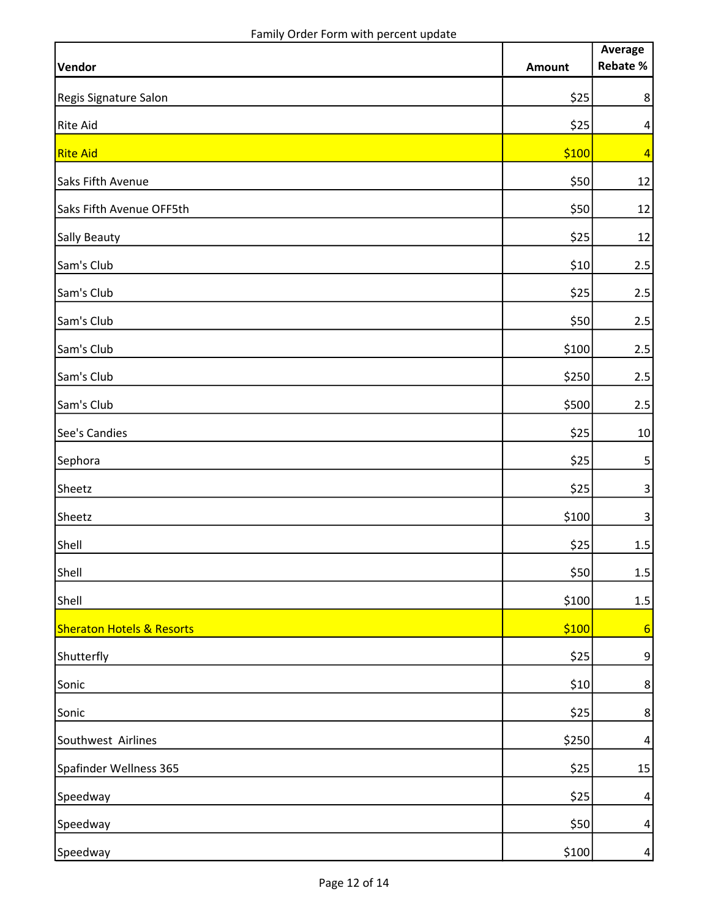|                                      |               | Average                 |
|--------------------------------------|---------------|-------------------------|
| Vendor                               | <b>Amount</b> | Rebate %                |
| Regis Signature Salon                | \$25          | $\bf 8$                 |
| <b>Rite Aid</b>                      | \$25          | $\vert 4 \vert$         |
| <b>Rite Aid</b>                      | \$100         | $\overline{4}$          |
| Saks Fifth Avenue                    | \$50          | 12                      |
| Saks Fifth Avenue OFF5th             | \$50          | 12                      |
| <b>Sally Beauty</b>                  | \$25          | 12                      |
| Sam's Club                           | \$10          | 2.5                     |
| Sam's Club                           | \$25          | 2.5                     |
| Sam's Club                           | \$50          | 2.5                     |
| Sam's Club                           | \$100         | 2.5                     |
| Sam's Club                           | \$250         | 2.5                     |
| Sam's Club                           | \$500         | 2.5                     |
| See's Candies                        | \$25          | 10                      |
| Sephora                              | \$25          | $\overline{\mathbf{5}}$ |
| Sheetz                               | \$25          | $\mathbf{3}$            |
| Sheetz                               | \$100         | $\overline{\mathbf{3}}$ |
| Shell                                | \$25          | 1.5                     |
| Shell                                | \$50          | $1.5\,$                 |
| Shell                                | \$100         | 1.5                     |
| <b>Sheraton Hotels &amp; Resorts</b> | \$100         | 6                       |
| Shutterfly                           | \$25          | 9                       |
| Sonic                                | \$10          | 8                       |
| Sonic                                | \$25          | 8                       |
| Southwest Airlines                   | \$250         | 4                       |
| Spafinder Wellness 365               | \$25          | 15                      |
| Speedway                             | \$25          | $\overline{a}$          |
| Speedway                             | \$50          | $\vert 4 \vert$         |
| Speedway                             | \$100         | $\vert 4 \vert$         |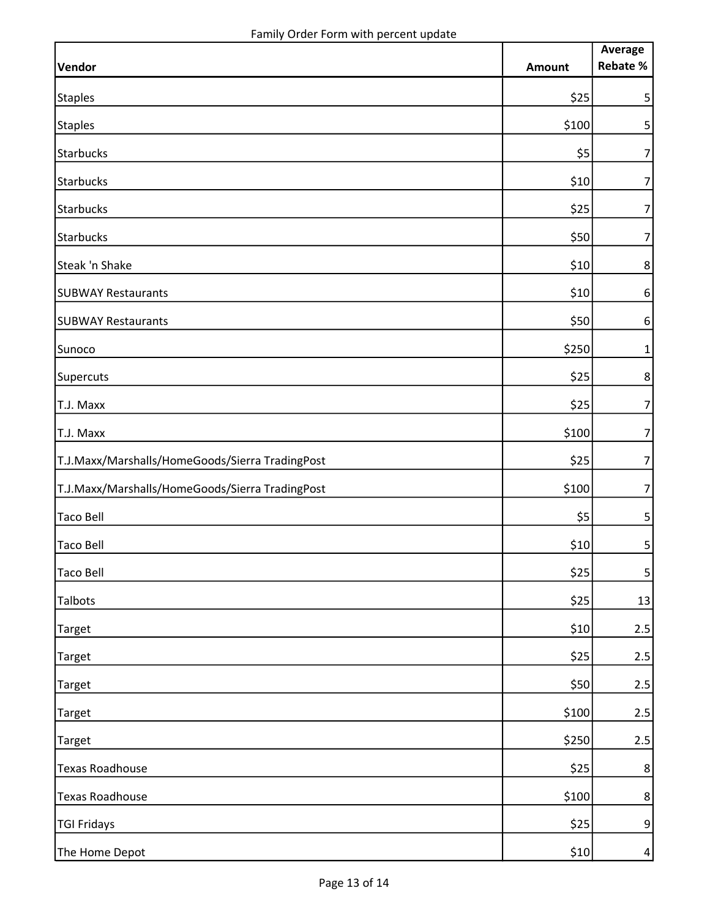|                                                 |        | Average                  |
|-------------------------------------------------|--------|--------------------------|
| Vendor                                          | Amount | Rebate %                 |
| <b>Staples</b>                                  | \$25   | $\mathsf{5}$             |
| <b>Staples</b>                                  | \$100  | $\mathsf{5}$             |
| <b>Starbucks</b>                                | \$5    | $\overline{7}$           |
| Starbucks                                       | \$10   | $\overline{7}$           |
| Starbucks                                       | \$25   | $\overline{7}$           |
| Starbucks                                       | \$50   | $\overline{7}$           |
| Steak 'n Shake                                  | \$10   | 8                        |
| <b>SUBWAY Restaurants</b>                       | \$10   | $6\,$                    |
| <b>SUBWAY Restaurants</b>                       | \$50   | $6\,$                    |
| Sunoco                                          | \$250  | 1                        |
| Supercuts                                       | \$25   | 8 <sup>1</sup>           |
| T.J. Maxx                                       | \$25   | $\overline{7}$           |
| T.J. Maxx                                       | \$100  | $\overline{7}$           |
| T.J.Maxx/Marshalls/HomeGoods/Sierra TradingPost | \$25   | $\overline{\phantom{a}}$ |
| T.J.Maxx/Marshalls/HomeGoods/Sierra TradingPost | \$100  | $\overline{7}$           |
| <b>Taco Bell</b>                                | \$5    | 5 <sup>1</sup>           |
| <b>Taco Bell</b>                                | \$10   | 5 <sup>1</sup>           |
| <b>Taco Bell</b>                                | \$25   | $\mathsf{S}$             |
| Talbots                                         | \$25   | 13                       |
| <b>Target</b>                                   | \$10   | 2.5                      |
| <b>Target</b>                                   | \$25   | 2.5                      |
| <b>Target</b>                                   | \$50   | 2.5                      |
| <b>Target</b>                                   | \$100  | 2.5                      |
| <b>Target</b>                                   | \$250  | 2.5                      |
| <b>Texas Roadhouse</b>                          | \$25   | 8                        |
| <b>Texas Roadhouse</b>                          | \$100  | $8\phantom{.}$           |
| <b>TGI Fridays</b>                              | \$25   | $\overline{9}$           |
| The Home Depot                                  | \$10   | 4                        |